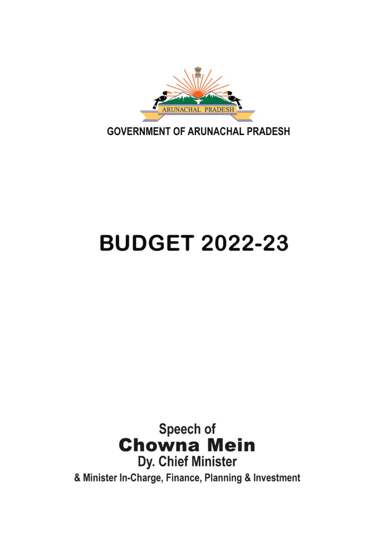

**GOVERNMENT OF ARUNACHAL PRADESH** 

# **BUDGET 2022-23**

Speech of **Chowna Mein** Dy. Chief Minister & Minister In-Charge, Finance, Planning & Investment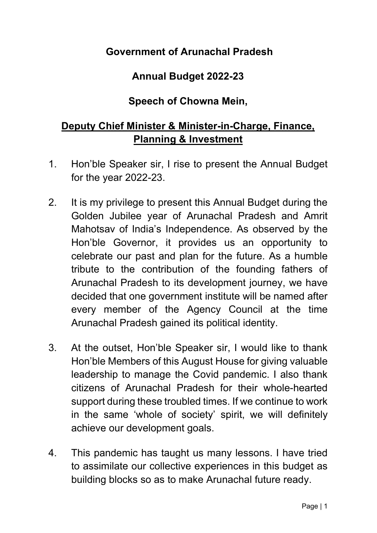### Government of Arunachal Pradesh

### Annual Budget 2022-23

#### Speech of Chowna Mein,

## Deputy Chief Minister & Minister-in-Charge, Finance, Planning & Investment

- 1. Hon'ble Speaker sir, I rise to present the Annual Budget for the year 2022-23.
- 2. It is my privilege to present this Annual Budget during the Golden Jubilee year of Arunachal Pradesh and Amrit Mahotsav of India's Independence. As observed by the Hon'ble Governor, it provides us an opportunity to celebrate our past and plan for the future. As a humble tribute to the contribution of the founding fathers of Arunachal Pradesh to its development journey, we have decided that one government institute will be named after every member of the Agency Council at the time Arunachal Pradesh gained its political identity.
- 3. At the outset, Hon'ble Speaker sir, I would like to thank Hon'ble Members of this August House for giving valuable leadership to manage the Covid pandemic. I also thank citizens of Arunachal Pradesh for their whole-hearted support during these troubled times. If we continue to work in the same 'whole of society' spirit, we will definitely achieve our development goals.
- 4. This pandemic has taught us many lessons. I have tried to assimilate our collective experiences in this budget as building blocks so as to make Arunachal future ready.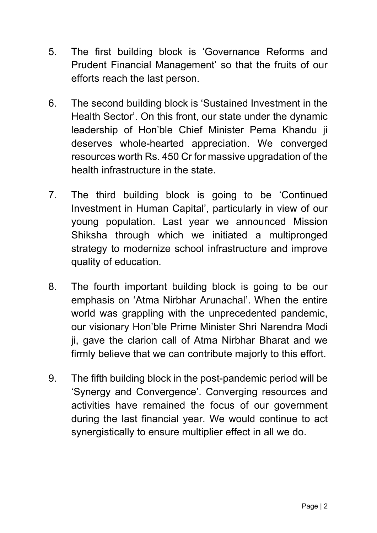- 5. The first building block is 'Governance Reforms and Prudent Financial Management' so that the fruits of our efforts reach the last person.
- 6. The second building block is 'Sustained Investment in the Health Sector'. On this front, our state under the dynamic leadership of Hon'ble Chief Minister Pema Khandu ji deserves whole-hearted appreciation. We converged resources worth Rs. 450 Cr for massive upgradation of the health infrastructure in the state.
- 7. The third building block is going to be 'Continued Investment in Human Capital', particularly in view of our young population. Last year we announced Mission Shiksha through which we initiated a multipronged strategy to modernize school infrastructure and improve quality of education.
- 8. The fourth important building block is going to be our emphasis on 'Atma Nirbhar Arunachal'. When the entire world was grappling with the unprecedented pandemic, our visionary Hon'ble Prime Minister Shri Narendra Modi ji, gave the clarion call of Atma Nirbhar Bharat and we firmly believe that we can contribute majorly to this effort.
- 9. The fifth building block in the post-pandemic period will be 'Synergy and Convergence'. Converging resources and activities have remained the focus of our government during the last financial year. We would continue to act synergistically to ensure multiplier effect in all we do.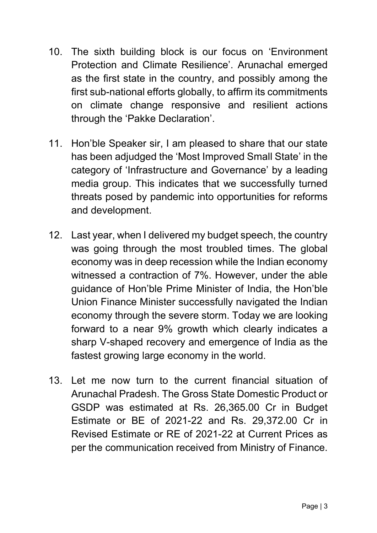- 10. The sixth building block is our focus on 'Environment Protection and Climate Resilience'. Arunachal emerged as the first state in the country, and possibly among the first sub-national efforts globally, to affirm its commitments on climate change responsive and resilient actions through the 'Pakke Declaration'.
- 11. Hon'ble Speaker sir, I am pleased to share that our state has been adjudged the 'Most Improved Small State' in the category of 'Infrastructure and Governance' by a leading media group. This indicates that we successfully turned threats posed by pandemic into opportunities for reforms and development.
- 12. Last year, when I delivered my budget speech, the country was going through the most troubled times. The global economy was in deep recession while the Indian economy witnessed a contraction of 7%. However, under the able guidance of Hon'ble Prime Minister of India, the Hon'ble Union Finance Minister successfully navigated the Indian economy through the severe storm. Today we are looking forward to a near 9% growth which clearly indicates a sharp V-shaped recovery and emergence of India as the fastest growing large economy in the world.
- 13. Let me now turn to the current financial situation of Arunachal Pradesh. The Gross State Domestic Product or GSDP was estimated at Rs. 26,365.00 Cr in Budget Estimate or BE of 2021-22 and Rs. 29,372.00 Cr in Revised Estimate or RE of 2021-22 at Current Prices as per the communication received from Ministry of Finance.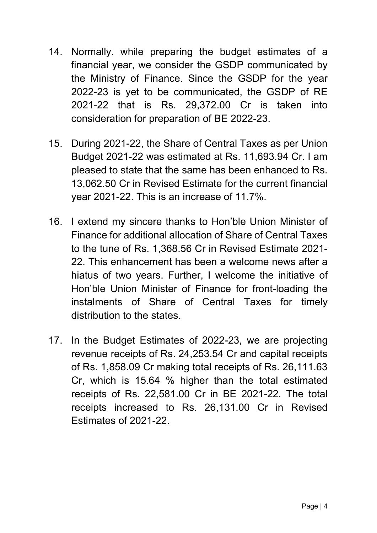- 14. Normally. while preparing the budget estimates of a financial year, we consider the GSDP communicated by the Ministry of Finance. Since the GSDP for the year 2022-23 is yet to be communicated, the GSDP of RE 2021-22 that is Rs. 29,372.00 Cr is taken into consideration for preparation of BE 2022-23.
- 15. During 2021-22, the Share of Central Taxes as per Union Budget 2021-22 was estimated at Rs. 11,693.94 Cr. I am pleased to state that the same has been enhanced to Rs. 13,062.50 Cr in Revised Estimate for the current financial year 2021-22. This is an increase of 11.7%.
- 16. I extend my sincere thanks to Hon'ble Union Minister of Finance for additional allocation of Share of Central Taxes to the tune of Rs. 1,368.56 Cr in Revised Estimate 2021- 22. This enhancement has been a welcome news after a hiatus of two years. Further, I welcome the initiative of Hon'ble Union Minister of Finance for front-loading the instalments of Share of Central Taxes for timely distribution to the states.
- 17. In the Budget Estimates of 2022-23, we are projecting revenue receipts of Rs. 24,253.54 Cr and capital receipts of Rs. 1,858.09 Cr making total receipts of Rs. 26,111.63 Cr, which is 15.64 % higher than the total estimated receipts of Rs. 22,581.00 Cr in BE 2021-22. The total receipts increased to Rs. 26,131.00 Cr in Revised Estimates of 2021-22.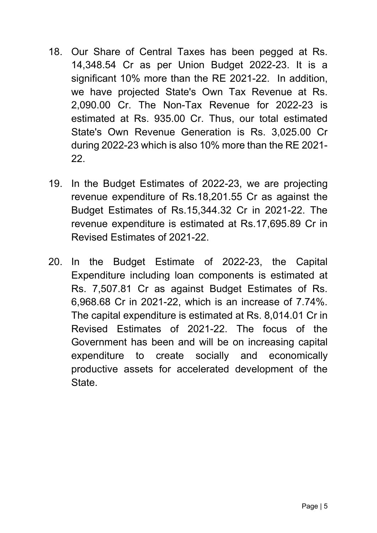- 18. Our Share of Central Taxes has been pegged at Rs. 14,348.54 Cr as per Union Budget 2022-23. It is a significant 10% more than the RE 2021-22. In addition, we have projected State's Own Tax Revenue at Rs. 2,090.00 Cr. The Non-Tax Revenue for 2022-23 is estimated at Rs. 935.00 Cr. Thus, our total estimated State's Own Revenue Generation is Rs. 3,025.00 Cr during 2022-23 which is also 10% more than the RE 2021- 22.
- 19. In the Budget Estimates of 2022-23, we are projecting revenue expenditure of Rs.18,201.55 Cr as against the Budget Estimates of Rs.15,344.32 Cr in 2021-22. The revenue expenditure is estimated at Rs.17,695.89 Cr in Revised Estimates of 2021-22.
- 20. In the Budget Estimate of 2022-23, the Capital Expenditure including loan components is estimated at Rs. 7,507.81 Cr as against Budget Estimates of Rs. 6,968.68 Cr in 2021-22, which is an increase of 7.74%. The capital expenditure is estimated at Rs. 8,014.01 Cr in Revised Estimates of 2021-22. The focus of the Government has been and will be on increasing capital expenditure to create socially and economically productive assets for accelerated development of the State.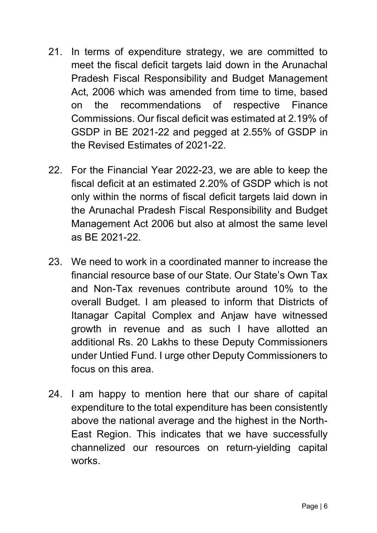- 21. In terms of expenditure strategy, we are committed to meet the fiscal deficit targets laid down in the Arunachal Pradesh Fiscal Responsibility and Budget Management Act, 2006 which was amended from time to time, based on the recommendations of respective Finance Commissions. Our fiscal deficit was estimated at 2.19% of GSDP in BE 2021-22 and pegged at 2.55% of GSDP in the Revised Estimates of 2021-22.
- 22. For the Financial Year 2022-23, we are able to keep the fiscal deficit at an estimated 2.20% of GSDP which is not only within the norms of fiscal deficit targets laid down in the Arunachal Pradesh Fiscal Responsibility and Budget Management Act 2006 but also at almost the same level as BE 2021-22.
- 23. We need to work in a coordinated manner to increase the financial resource base of our State. Our State's Own Tax and Non-Tax revenues contribute around 10% to the overall Budget. I am pleased to inform that Districts of Itanagar Capital Complex and Anjaw have witnessed growth in revenue and as such I have allotted an additional Rs. 20 Lakhs to these Deputy Commissioners under Untied Fund. I urge other Deputy Commissioners to focus on this area.
- 24. I am happy to mention here that our share of capital expenditure to the total expenditure has been consistently above the national average and the highest in the North-East Region. This indicates that we have successfully channelized our resources on return-yielding capital works.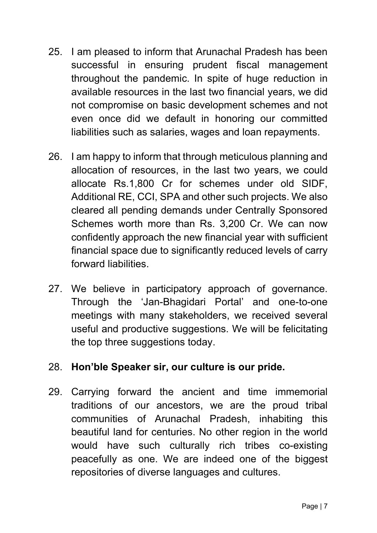- 25. I am pleased to inform that Arunachal Pradesh has been successful in ensuring prudent fiscal management throughout the pandemic. In spite of huge reduction in available resources in the last two financial years, we did not compromise on basic development schemes and not even once did we default in honoring our committed liabilities such as salaries, wages and loan repayments.
- 26. I am happy to inform that through meticulous planning and allocation of resources, in the last two years, we could allocate Rs.1,800 Cr for schemes under old SIDF, Additional RE, CCI, SPA and other such projects. We also cleared all pending demands under Centrally Sponsored Schemes worth more than Rs. 3,200 Cr. We can now confidently approach the new financial year with sufficient financial space due to significantly reduced levels of carry forward liabilities.
- 27. We believe in participatory approach of governance. Through the 'Jan-Bhagidari Portal' and one-to-one meetings with many stakeholders, we received several useful and productive suggestions. We will be felicitating the top three suggestions today.

#### 28. Hon'ble Speaker sir, our culture is our pride.

29. Carrying forward the ancient and time immemorial traditions of our ancestors, we are the proud tribal communities of Arunachal Pradesh, inhabiting this beautiful land for centuries. No other region in the world would have such culturally rich tribes co-existing peacefully as one. We are indeed one of the biggest repositories of diverse languages and cultures.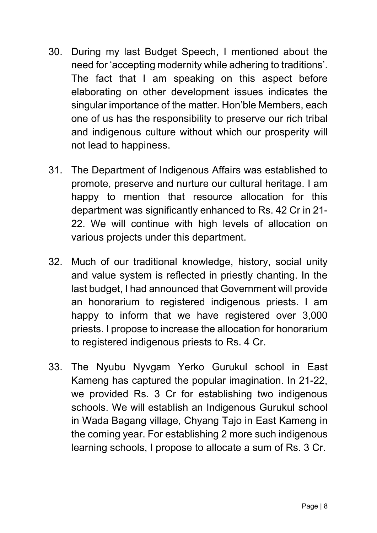- 30. During my last Budget Speech, I mentioned about the need for 'accepting modernity while adhering to traditions'. The fact that I am speaking on this aspect before elaborating on other development issues indicates the singular importance of the matter. Hon'ble Members, each one of us has the responsibility to preserve our rich tribal and indigenous culture without which our prosperity will not lead to happiness.
- 31. The Department of Indigenous Affairs was established to promote, preserve and nurture our cultural heritage. I am happy to mention that resource allocation for this department was significantly enhanced to Rs. 42 Cr in 21- 22. We will continue with high levels of allocation on various projects under this department.
- 32. Much of our traditional knowledge, history, social unity and value system is reflected in priestly chanting. In the last budget, I had announced that Government will provide an honorarium to registered indigenous priests. I am happy to inform that we have registered over 3,000 priests. I propose to increase the allocation for honorarium to registered indigenous priests to Rs. 4 Cr.
- 33. The Nyubu Nyvgam Yerko Gurukul school in East Kameng has captured the popular imagination. In 21-22, we provided Rs. 3 Cr for establishing two indigenous schools. We will establish an Indigenous Gurukul school in Wada Bagang village, Chyang Tajo in East Kameng in the coming year. For establishing 2 more such indigenous learning schools, I propose to allocate a sum of Rs. 3 Cr.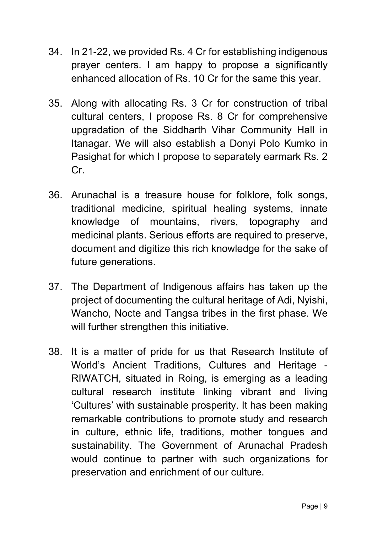- 34. In 21-22, we provided Rs. 4 Cr for establishing indigenous prayer centers. I am happy to propose a significantly enhanced allocation of Rs. 10 Cr for the same this year.
- 35. Along with allocating Rs. 3 Cr for construction of tribal cultural centers, I propose Rs. 8 Cr for comprehensive upgradation of the Siddharth Vihar Community Hall in Itanagar. We will also establish a Donyi Polo Kumko in Pasighat for which I propose to separately earmark Rs. 2 Cr.
- 36. Arunachal is a treasure house for folklore, folk songs, traditional medicine, spiritual healing systems, innate knowledge of mountains, rivers, topography and medicinal plants. Serious efforts are required to preserve, document and digitize this rich knowledge for the sake of future generations.
- 37. The Department of Indigenous affairs has taken up the project of documenting the cultural heritage of Adi, Nyishi, Wancho, Nocte and Tangsa tribes in the first phase. We will further strengthen this initiative.
- 38. It is a matter of pride for us that Research Institute of World's Ancient Traditions, Cultures and Heritage - RIWATCH, situated in Roing, is emerging as a leading cultural research institute linking vibrant and living 'Cultures' with sustainable prosperity. It has been making remarkable contributions to promote study and research in culture, ethnic life, traditions, mother tongues and sustainability. The Government of Arunachal Pradesh would continue to partner with such organizations for preservation and enrichment of our culture.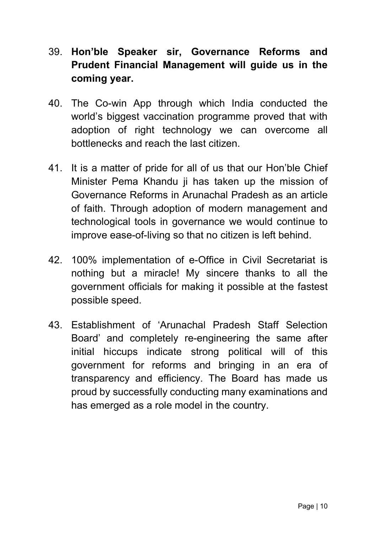- 39. Hon'ble Speaker sir, Governance Reforms and Prudent Financial Management will guide us in the coming year.
- 40. The Co-win App through which India conducted the world's biggest vaccination programme proved that with adoption of right technology we can overcome all bottlenecks and reach the last citizen.
- 41. It is a matter of pride for all of us that our Hon'ble Chief Minister Pema Khandu ji has taken up the mission of Governance Reforms in Arunachal Pradesh as an article of faith. Through adoption of modern management and technological tools in governance we would continue to improve ease-of-living so that no citizen is left behind.
- 42. 100% implementation of e-Office in Civil Secretariat is nothing but a miracle! My sincere thanks to all the government officials for making it possible at the fastest possible speed.
- 43. Establishment of 'Arunachal Pradesh Staff Selection Board' and completely re-engineering the same after initial hiccups indicate strong political will of this government for reforms and bringing in an era of transparency and efficiency. The Board has made us proud by successfully conducting many examinations and has emerged as a role model in the country.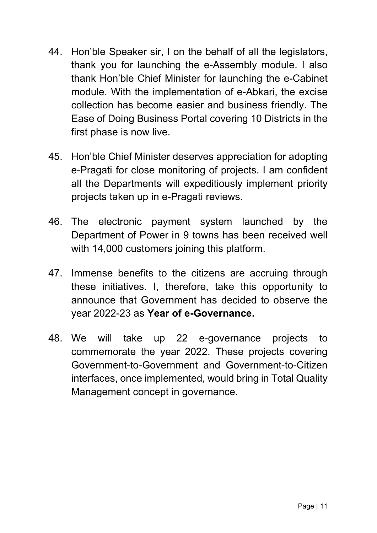- 44. Hon'ble Speaker sir, I on the behalf of all the legislators, thank you for launching the e-Assembly module. I also thank Hon'ble Chief Minister for launching the e-Cabinet module. With the implementation of e-Abkari, the excise collection has become easier and business friendly. The Ease of Doing Business Portal covering 10 Districts in the first phase is now live.
- 45. Hon'ble Chief Minister deserves appreciation for adopting e-Pragati for close monitoring of projects. I am confident all the Departments will expeditiously implement priority projects taken up in e-Pragati reviews.
- 46. The electronic payment system launched by the Department of Power in 9 towns has been received well with 14,000 customers joining this platform.
- 47. Immense benefits to the citizens are accruing through these initiatives. I, therefore, take this opportunity to announce that Government has decided to observe the year 2022-23 as Year of e-Governance.
- 48. We will take up 22 e-governance projects to commemorate the year 2022. These projects covering Government-to-Government and Government-to-Citizen interfaces, once implemented, would bring in Total Quality Management concept in governance.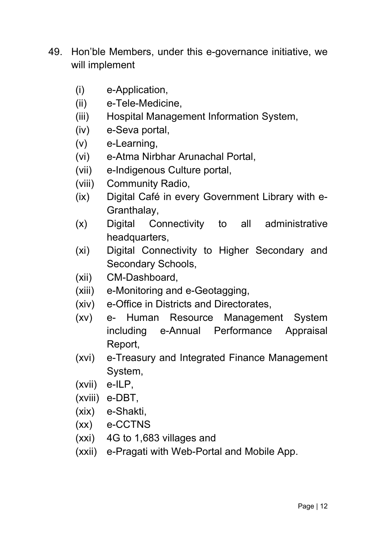- 49. Hon'ble Members, under this e-governance initiative, we will implement
	- (i) e-Application,
	- (ii) e-Tele-Medicine,
	- (iii) Hospital Management Information System,
	- (iv) e-Seva portal,
	- (v) e-Learning,
	- (vi) e-Atma Nirbhar Arunachal Portal,
	- (vii) e-Indigenous Culture portal,
	- (viii) Community Radio,
	- (ix) Digital Café in every Government Library with e-Granthalay,
	- (x) Digital Connectivity to all administrative headquarters,
	- (xi) Digital Connectivity to Higher Secondary and Secondary Schools,
	- (xii) CM-Dashboard,
	- (xiii) e-Monitoring and e-Geotagging,
	- (xiv) e-Office in Districts and Directorates,
	- (xv) e- Human Resource Management System including e-Annual Performance Appraisal Report,
	- (xvi) e-Treasury and Integrated Finance Management System,
	- (xvii) e-ILP,
	- (xviii) e-DBT,
	- (xix) e-Shakti,
	- (xx) e-CCTNS
	- (xxi) 4G to 1,683 villages and
	- (xxii) e-Pragati with Web-Portal and Mobile App.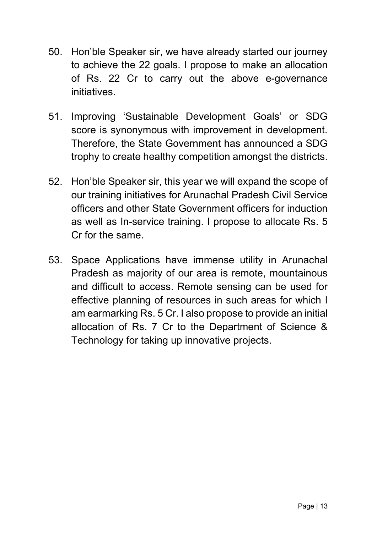- 50. Hon'ble Speaker sir, we have already started our journey to achieve the 22 goals. I propose to make an allocation of Rs. 22 Cr to carry out the above e-governance initiatives.
- 51. Improving 'Sustainable Development Goals' or SDG score is synonymous with improvement in development. Therefore, the State Government has announced a SDG trophy to create healthy competition amongst the districts.
- 52. Hon'ble Speaker sir, this year we will expand the scope of our training initiatives for Arunachal Pradesh Civil Service officers and other State Government officers for induction as well as In-service training. I propose to allocate Rs. 5 Cr for the same.
- 53. Space Applications have immense utility in Arunachal Pradesh as majority of our area is remote, mountainous and difficult to access. Remote sensing can be used for effective planning of resources in such areas for which I am earmarking Rs. 5 Cr. I also propose to provide an initial allocation of Rs. 7 Cr to the Department of Science & Technology for taking up innovative projects.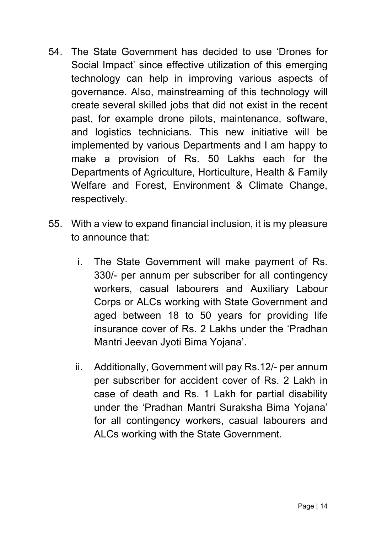- 54. The State Government has decided to use 'Drones for Social Impact' since effective utilization of this emerging technology can help in improving various aspects of governance. Also, mainstreaming of this technology will create several skilled jobs that did not exist in the recent past, for example drone pilots, maintenance, software, and logistics technicians. This new initiative will be implemented by various Departments and I am happy to make a provision of Rs. 50 Lakhs each for the Departments of Agriculture, Horticulture, Health & Family Welfare and Forest, Environment & Climate Change, respectively.
- 55. With a view to expand financial inclusion, it is my pleasure to announce that:
	- i. The State Government will make payment of Rs. 330/- per annum per subscriber for all contingency workers, casual labourers and Auxiliary Labour Corps or ALCs working with State Government and aged between 18 to 50 years for providing life insurance cover of Rs. 2 Lakhs under the 'Pradhan Mantri Jeevan Jyoti Bima Yojana'.
	- ii. Additionally, Government will pay Rs.12/- per annum per subscriber for accident cover of Rs. 2 Lakh in case of death and Rs. 1 Lakh for partial disability under the 'Pradhan Mantri Suraksha Bima Yojana' for all contingency workers, casual labourers and ALCs working with the State Government.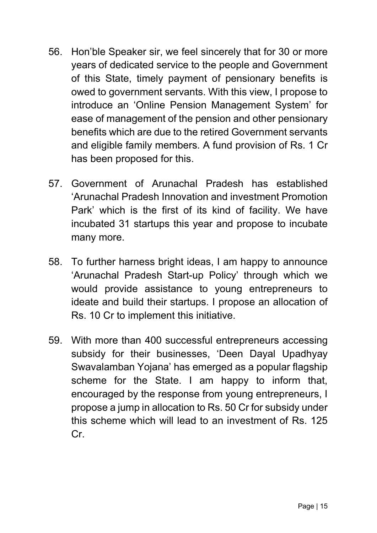- 56. Hon'ble Speaker sir, we feel sincerely that for 30 or more years of dedicated service to the people and Government of this State, timely payment of pensionary benefits is owed to government servants. With this view, I propose to introduce an 'Online Pension Management System' for ease of management of the pension and other pensionary benefits which are due to the retired Government servants and eligible family members. A fund provision of Rs. 1 Cr has been proposed for this.
- 57. Government of Arunachal Pradesh has established 'Arunachal Pradesh Innovation and investment Promotion Park' which is the first of its kind of facility. We have incubated 31 startups this year and propose to incubate many more.
- 58. To further harness bright ideas, I am happy to announce 'Arunachal Pradesh Start-up Policy' through which we would provide assistance to young entrepreneurs to ideate and build their startups. I propose an allocation of Rs. 10 Cr to implement this initiative.
- 59. With more than 400 successful entrepreneurs accessing subsidy for their businesses, 'Deen Dayal Upadhyay Swavalamban Yojana' has emerged as a popular flagship scheme for the State. I am happy to inform that, encouraged by the response from young entrepreneurs, I propose a jump in allocation to Rs. 50 Cr for subsidy under this scheme which will lead to an investment of Rs. 125 Cr.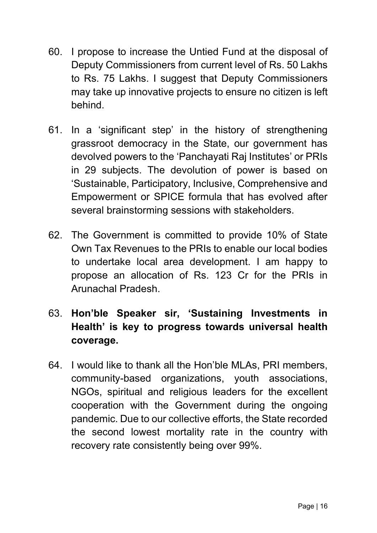- 60. I propose to increase the Untied Fund at the disposal of Deputy Commissioners from current level of Rs. 50 Lakhs to Rs. 75 Lakhs. I suggest that Deputy Commissioners may take up innovative projects to ensure no citizen is left behind.
- 61. In a 'significant step' in the history of strengthening grassroot democracy in the State, our government has devolved powers to the 'Panchayati Raj Institutes' or PRIs in 29 subjects. The devolution of power is based on 'Sustainable, Participatory, Inclusive, Comprehensive and Empowerment or SPICE formula that has evolved after several brainstorming sessions with stakeholders.
- 62. The Government is committed to provide 10% of State Own Tax Revenues to the PRIs to enable our local bodies to undertake local area development. I am happy to propose an allocation of Rs. 123 Cr for the PRIs in Arunachal Pradesh.
- 63. Hon'ble Speaker sir, 'Sustaining Investments in Health' is key to progress towards universal health coverage.
- 64. I would like to thank all the Hon'ble MLAs, PRI members, community-based organizations, youth associations, NGOs, spiritual and religious leaders for the excellent cooperation with the Government during the ongoing pandemic. Due to our collective efforts, the State recorded the second lowest mortality rate in the country with recovery rate consistently being over 99%.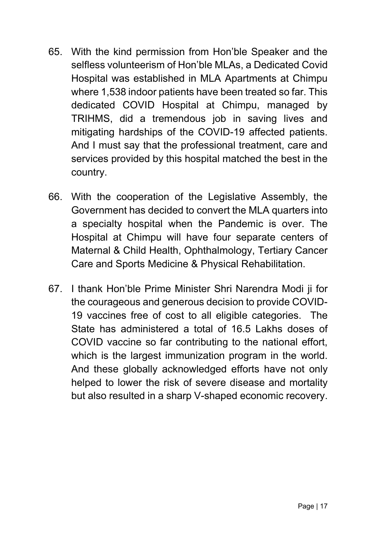- 65. With the kind permission from Hon'ble Speaker and the selfless volunteerism of Hon'ble MLAs, a Dedicated Covid Hospital was established in MLA Apartments at Chimpu where 1,538 indoor patients have been treated so far. This dedicated COVID Hospital at Chimpu, managed by TRIHMS, did a tremendous job in saving lives and mitigating hardships of the COVID-19 affected patients. And I must say that the professional treatment, care and services provided by this hospital matched the best in the country.
- 66. With the cooperation of the Legislative Assembly, the Government has decided to convert the MLA quarters into a specialty hospital when the Pandemic is over. The Hospital at Chimpu will have four separate centers of Maternal & Child Health, Ophthalmology, Tertiary Cancer Care and Sports Medicine & Physical Rehabilitation.
- 67. I thank Hon'ble Prime Minister Shri Narendra Modi ji for the courageous and generous decision to provide COVID-19 vaccines free of cost to all eligible categories. The State has administered a total of 16.5 Lakhs doses of COVID vaccine so far contributing to the national effort, which is the largest immunization program in the world. And these globally acknowledged efforts have not only helped to lower the risk of severe disease and mortality but also resulted in a sharp V-shaped economic recovery.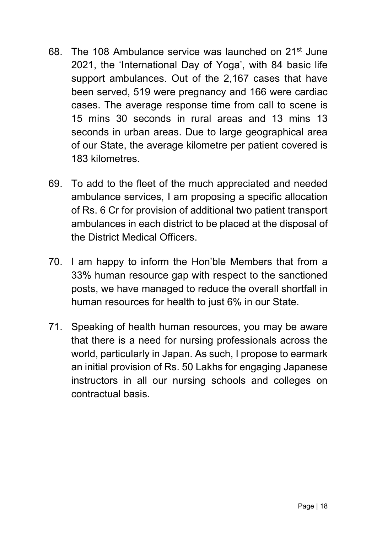- 68. The 108 Ambulance service was launched on 21st June 2021, the 'International Day of Yoga', with 84 basic life support ambulances. Out of the 2,167 cases that have been served, 519 were pregnancy and 166 were cardiac cases. The average response time from call to scene is 15 mins 30 seconds in rural areas and 13 mins 13 seconds in urban areas. Due to large geographical area of our State, the average kilometre per patient covered is 183 kilometres.
- 69. To add to the fleet of the much appreciated and needed ambulance services, I am proposing a specific allocation of Rs. 6 Cr for provision of additional two patient transport ambulances in each district to be placed at the disposal of the District Medical Officers.
- 70. I am happy to inform the Hon'ble Members that from a 33% human resource gap with respect to the sanctioned posts, we have managed to reduce the overall shortfall in human resources for health to just 6% in our State.
- 71. Speaking of health human resources, you may be aware that there is a need for nursing professionals across the world, particularly in Japan. As such, I propose to earmark an initial provision of Rs. 50 Lakhs for engaging Japanese instructors in all our nursing schools and colleges on contractual basis.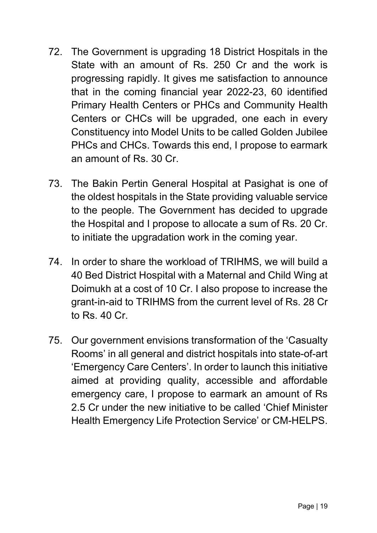- 72. The Government is upgrading 18 District Hospitals in the State with an amount of Rs. 250 Cr and the work is progressing rapidly. It gives me satisfaction to announce that in the coming financial year 2022-23, 60 identified Primary Health Centers or PHCs and Community Health Centers or CHCs will be upgraded, one each in every Constituency into Model Units to be called Golden Jubilee PHCs and CHCs. Towards this end, I propose to earmark an amount of Rs. 30 Cr.
- 73. The Bakin Pertin General Hospital at Pasighat is one of the oldest hospitals in the State providing valuable service to the people. The Government has decided to upgrade the Hospital and I propose to allocate a sum of Rs. 20 Cr. to initiate the upgradation work in the coming year.
- 74. In order to share the workload of TRIHMS, we will build a 40 Bed District Hospital with a Maternal and Child Wing at Doimukh at a cost of 10 Cr. I also propose to increase the grant-in-aid to TRIHMS from the current level of Rs. 28 Cr to Rs. 40 Cr.
- 75. Our government envisions transformation of the 'Casualty Rooms' in all general and district hospitals into state-of-art 'Emergency Care Centers'. In order to launch this initiative aimed at providing quality, accessible and affordable emergency care, I propose to earmark an amount of Rs 2.5 Cr under the new initiative to be called 'Chief Minister Health Emergency Life Protection Service' or CM-HELPS.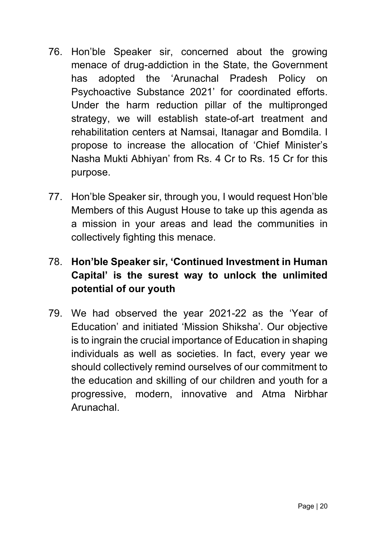- 76. Hon'ble Speaker sir, concerned about the growing menace of drug-addiction in the State, the Government has adopted the 'Arunachal Pradesh Policy on Psychoactive Substance 2021' for coordinated efforts. Under the harm reduction pillar of the multipronged strategy, we will establish state-of-art treatment and rehabilitation centers at Namsai, Itanagar and Bomdila. I propose to increase the allocation of 'Chief Minister's Nasha Mukti Abhiyan' from Rs. 4 Cr to Rs. 15 Cr for this purpose.
- 77. Hon'ble Speaker sir, through you, I would request Hon'ble Members of this August House to take up this agenda as a mission in your areas and lead the communities in collectively fighting this menace.

# 78. Hon'ble Speaker sir, 'Continued Investment in Human Capital' is the surest way to unlock the unlimited potential of our youth

79. We had observed the year 2021-22 as the 'Year of Education' and initiated 'Mission Shiksha'. Our objective is to ingrain the crucial importance of Education in shaping individuals as well as societies. In fact, every year we should collectively remind ourselves of our commitment to the education and skilling of our children and youth for a progressive, modern, innovative and Atma Nirbhar Arunachal.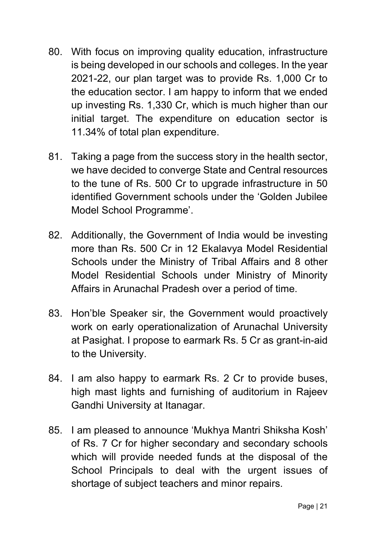- 80. With focus on improving quality education, infrastructure is being developed in our schools and colleges. In the year 2021-22, our plan target was to provide Rs. 1,000 Cr to the education sector. I am happy to inform that we ended up investing Rs. 1,330 Cr, which is much higher than our initial target. The expenditure on education sector is 11.34% of total plan expenditure.
- 81. Taking a page from the success story in the health sector, we have decided to converge State and Central resources to the tune of Rs. 500 Cr to upgrade infrastructure in 50 identified Government schools under the 'Golden Jubilee Model School Programme'.
- 82. Additionally, the Government of India would be investing more than Rs. 500 Cr in 12 Ekalavya Model Residential Schools under the Ministry of Tribal Affairs and 8 other Model Residential Schools under Ministry of Minority Affairs in Arunachal Pradesh over a period of time.
- 83. Hon'ble Speaker sir, the Government would proactively work on early operationalization of Arunachal University at Pasighat. I propose to earmark Rs. 5 Cr as grant-in-aid to the University.
- 84. I am also happy to earmark Rs. 2 Cr to provide buses, high mast lights and furnishing of auditorium in Rajeev Gandhi University at Itanagar.
- 85. I am pleased to announce 'Mukhya Mantri Shiksha Kosh' of Rs. 7 Cr for higher secondary and secondary schools which will provide needed funds at the disposal of the School Principals to deal with the urgent issues of shortage of subject teachers and minor repairs.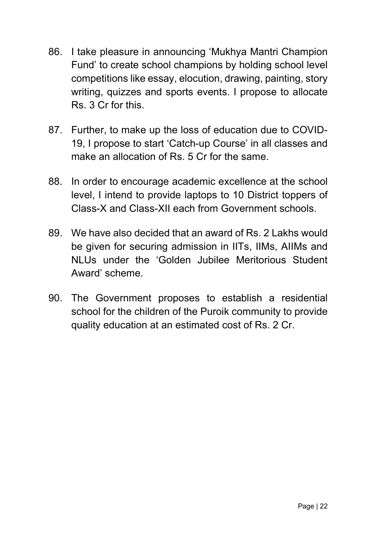- 86. I take pleasure in announcing 'Mukhya Mantri Champion Fund' to create school champions by holding school level competitions like essay, elocution, drawing, painting, story writing, quizzes and sports events. I propose to allocate Rs. 3 Cr for this.
- 87. Further, to make up the loss of education due to COVID-19, I propose to start 'Catch-up Course' in all classes and make an allocation of Rs. 5 Cr for the same.
- 88. In order to encourage academic excellence at the school level, I intend to provide laptops to 10 District toppers of Class-X and Class-XII each from Government schools.
- 89. We have also decided that an award of Rs. 2 Lakhs would be given for securing admission in IITs, IIMs, AIIMs and NLUs under the 'Golden Jubilee Meritorious Student Award' scheme.
- 90. The Government proposes to establish a residential school for the children of the Puroik community to provide quality education at an estimated cost of Rs. 2 Cr.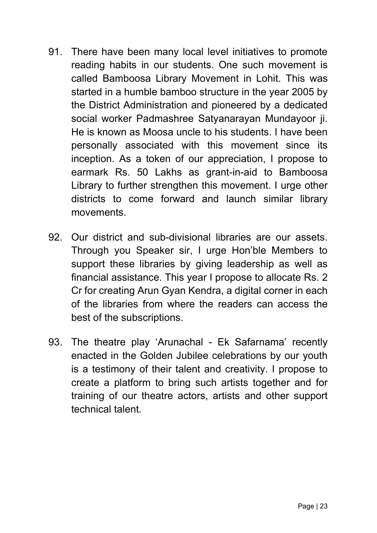- 91. There have been many local level initiatives to promote reading habits in our students. One such movement is called Bamboosa Library Movement in Lohit. This was started in a humble bamboo structure in the year 2005 by the District Administration and pioneered by a dedicated social worker Padmashree Satyanarayan Mundayoor ji. He is known as Moosa uncle to his students. I have been personally associated with this movement since its inception. As a token of our appreciation, I propose to earmark Rs. 50 Lakhs as grant-in-aid to Bamboosa Library to further strengthen this movement. I urge other districts to come forward and launch similar library movements.
- 92. Our district and sub-divisional libraries are our assets. Through you Speaker sir, I urge Hon'ble Members to support these libraries by giving leadership as well as financial assistance. This year I propose to allocate Rs. 2 Cr for creating Arun Gyan Kendra, a digital corner in each of the libraries from where the readers can access the best of the subscriptions.
- 93. The theatre play 'Arunachal Ek Safarnama' recently enacted in the Golden Jubilee celebrations by our youth is a testimony of their talent and creativity. I propose to create a platform to bring such artists together and for training of our theatre actors, artists and other support technical talent.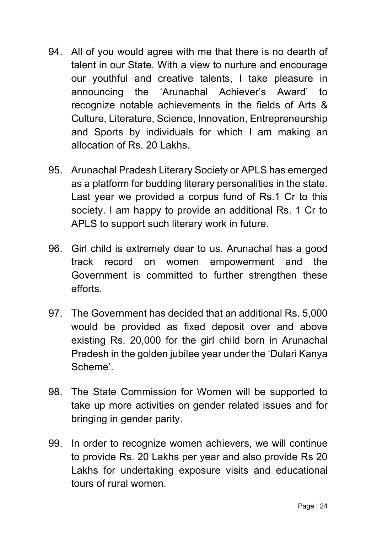- 94. All of you would agree with me that there is no dearth of talent in our State. With a view to nurture and encourage our youthful and creative talents, I take pleasure in announcing the 'Arunachal Achiever's Award' to recognize notable achievements in the fields of Arts & Culture, Literature, Science, Innovation, Entrepreneurship and Sports by individuals for which I am making an allocation of Rs. 20 Lakhs.
- 95. Arunachal Pradesh Literary Society or APLS has emerged as a platform for budding literary personalities in the state. Last year we provided a corpus fund of Rs.1 Cr to this society. I am happy to provide an additional Rs. 1 Cr to APLS to support such literary work in future.
- 96. Girl child is extremely dear to us. Arunachal has a good track record on women empowerment and the Government is committed to further strengthen these efforts.
- 97. The Government has decided that an additional Rs. 5,000 would be provided as fixed deposit over and above existing Rs. 20,000 for the girl child born in Arunachal Pradesh in the golden jubilee year under the 'Dulari Kanya Scheme'.
- 98. The State Commission for Women will be supported to take up more activities on gender related issues and for bringing in gender parity.
- 99. In order to recognize women achievers, we will continue to provide Rs. 20 Lakhs per year and also provide Rs 20 Lakhs for undertaking exposure visits and educational tours of rural women.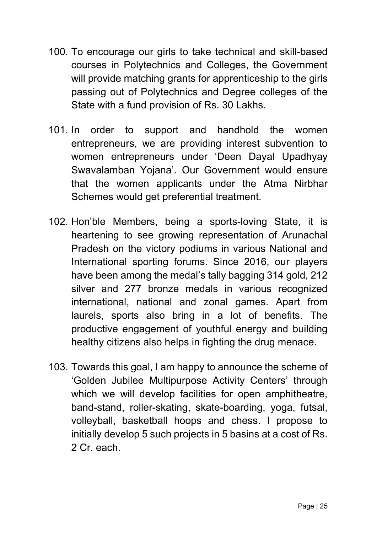- 100. To encourage our girls to take technical and skill-based courses in Polytechnics and Colleges, the Government will provide matching grants for apprenticeship to the girls passing out of Polytechnics and Degree colleges of the State with a fund provision of Rs. 30 Lakhs.
- 101. In order to support and handhold the women entrepreneurs, we are providing interest subvention to women entrepreneurs under 'Deen Dayal Upadhyay Swavalamban Yojana'. Our Government would ensure that the women applicants under the Atma Nirbhar Schemes would get preferential treatment.
- 102. Hon'ble Members, being a sports-loving State, it is heartening to see growing representation of Arunachal Pradesh on the victory podiums in various National and International sporting forums. Since 2016, our players have been among the medal's tally bagging 314 gold, 212 silver and 277 bronze medals in various recognized international, national and zonal games. Apart from laurels, sports also bring in a lot of benefits. The productive engagement of youthful energy and building healthy citizens also helps in fighting the drug menace.
- 103. Towards this goal, I am happy to announce the scheme of 'Golden Jubilee Multipurpose Activity Centers' through which we will develop facilities for open amphitheatre, band-stand, roller-skating, skate-boarding, yoga, futsal, volleyball, basketball hoops and chess. I propose to initially develop 5 such projects in 5 basins at a cost of Rs. 2 Cr. each.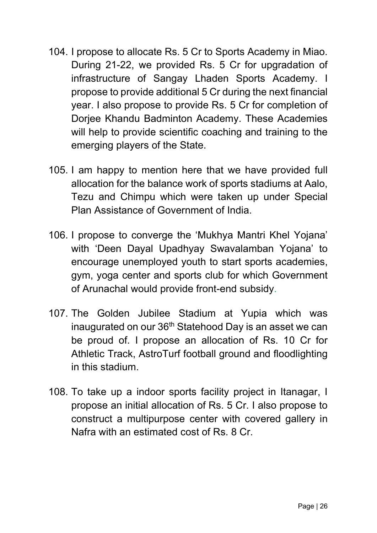- 104. I propose to allocate Rs. 5 Cr to Sports Academy in Miao. During 21-22, we provided Rs. 5 Cr for upgradation of infrastructure of Sangay Lhaden Sports Academy. I propose to provide additional 5 Cr during the next financial year. I also propose to provide Rs. 5 Cr for completion of Dorjee Khandu Badminton Academy. These Academies will help to provide scientific coaching and training to the emerging players of the State.
- 105. I am happy to mention here that we have provided full allocation for the balance work of sports stadiums at Aalo, Tezu and Chimpu which were taken up under Special Plan Assistance of Government of India.
- 106. I propose to converge the 'Mukhya Mantri Khel Yojana' with 'Deen Dayal Upadhyay Swavalamban Yojana' to encourage unemployed youth to start sports academies, gym, yoga center and sports club for which Government of Arunachal would provide front-end subsidy.
- 107. The Golden Jubilee Stadium at Yupia which was inaugurated on our 36<sup>th</sup> Statehood Day is an asset we can be proud of. I propose an allocation of Rs. 10 Cr for Athletic Track, AstroTurf football ground and floodlighting in this stadium.
- 108. To take up a indoor sports facility project in Itanagar, I propose an initial allocation of Rs. 5 Cr. I also propose to construct a multipurpose center with covered gallery in Nafra with an estimated cost of Rs. 8 Cr.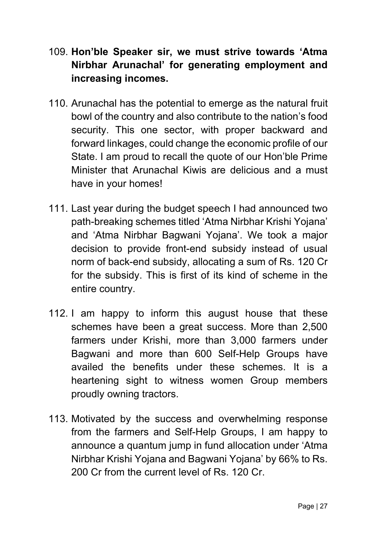- 109. Hon'ble Speaker sir, we must strive towards 'Atma Nirbhar Arunachal' for generating employment and increasing incomes.
- 110. Arunachal has the potential to emerge as the natural fruit bowl of the country and also contribute to the nation's food security. This one sector, with proper backward and forward linkages, could change the economic profile of our State. I am proud to recall the quote of our Hon'ble Prime Minister that Arunachal Kiwis are delicious and a must have in your homes!
- 111. Last year during the budget speech I had announced two path-breaking schemes titled 'Atma Nirbhar Krishi Yojana' and 'Atma Nirbhar Bagwani Yojana'. We took a major decision to provide front-end subsidy instead of usual norm of back-end subsidy, allocating a sum of Rs. 120 Cr for the subsidy. This is first of its kind of scheme in the entire country.
- 112. I am happy to inform this august house that these schemes have been a great success. More than 2,500 farmers under Krishi, more than 3,000 farmers under Bagwani and more than 600 Self-Help Groups have availed the benefits under these schemes. It is a heartening sight to witness women Group members proudly owning tractors.
- 113. Motivated by the success and overwhelming response from the farmers and Self-Help Groups, I am happy to announce a quantum jump in fund allocation under 'Atma Nirbhar Krishi Yojana and Bagwani Yojana' by 66% to Rs. 200 Cr from the current level of Rs. 120 Cr.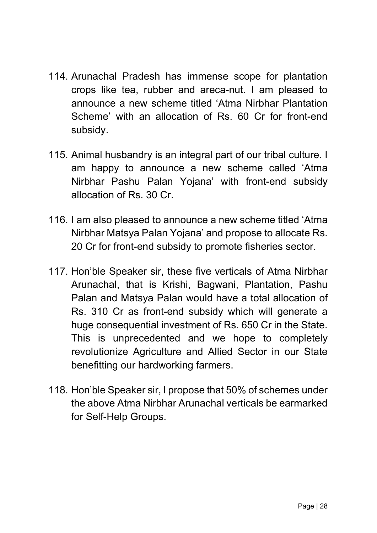- 114. Arunachal Pradesh has immense scope for plantation crops like tea, rubber and areca-nut. I am pleased to announce a new scheme titled 'Atma Nirbhar Plantation Scheme' with an allocation of Rs. 60 Cr for front-end subsidy.
- 115. Animal husbandry is an integral part of our tribal culture. I am happy to announce a new scheme called 'Atma Nirbhar Pashu Palan Yojana' with front-end subsidy allocation of Rs. 30 Cr.
- 116. I am also pleased to announce a new scheme titled 'Atma Nirbhar Matsya Palan Yojana' and propose to allocate Rs. 20 Cr for front-end subsidy to promote fisheries sector.
- 117. Hon'ble Speaker sir, these five verticals of Atma Nirbhar Arunachal, that is Krishi, Bagwani, Plantation, Pashu Palan and Matsya Palan would have a total allocation of Rs. 310 Cr as front-end subsidy which will generate a huge consequential investment of Rs. 650 Cr in the State. This is unprecedented and we hope to completely revolutionize Agriculture and Allied Sector in our State benefitting our hardworking farmers.
- 118. Hon'ble Speaker sir, I propose that 50% of schemes under the above Atma Nirbhar Arunachal verticals be earmarked for Self-Help Groups.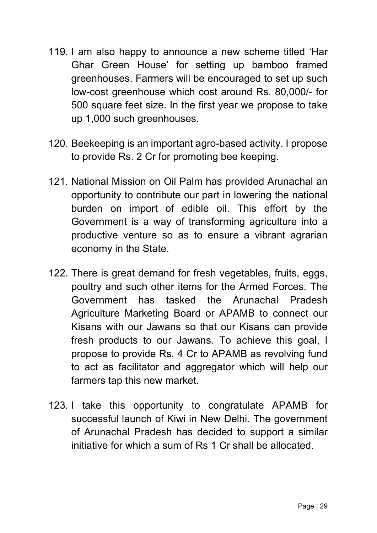- 119. I am also happy to announce a new scheme titled 'Har Ghar Green House' for setting up bamboo framed greenhouses. Farmers will be encouraged to set up such low-cost greenhouse which cost around Rs. 80,000/- for 500 square feet size. In the first year we propose to take up 1,000 such greenhouses.
- 120. Beekeeping is an important agro-based activity. I propose to provide Rs. 2 Cr for promoting bee keeping.
- 121. National Mission on Oil Palm has provided Arunachal an opportunity to contribute our part in lowering the national burden on import of edible oil. This effort by the Government is a way of transforming agriculture into a productive venture so as to ensure a vibrant agrarian economy in the State.
- 122. There is great demand for fresh vegetables, fruits, eggs, poultry and such other items for the Armed Forces. The Government has tasked the Arunachal Pradesh Agriculture Marketing Board or APAMB to connect our Kisans with our Jawans so that our Kisans can provide fresh products to our Jawans. To achieve this goal, I propose to provide Rs. 4 Cr to APAMB as revolving fund to act as facilitator and aggregator which will help our farmers tap this new market.
- 123. I take this opportunity to congratulate APAMB for successful launch of Kiwi in New Delhi. The government of Arunachal Pradesh has decided to support a similar initiative for which a sum of Rs 1 Cr shall be allocated.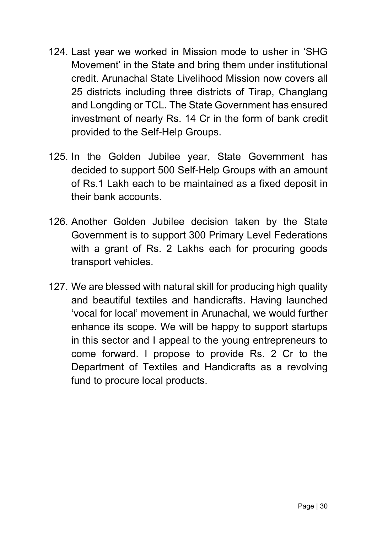- 124. Last year we worked in Mission mode to usher in 'SHG Movement' in the State and bring them under institutional credit. Arunachal State Livelihood Mission now covers all 25 districts including three districts of Tirap, Changlang and Longding or TCL. The State Government has ensured investment of nearly Rs. 14 Cr in the form of bank credit provided to the Self-Help Groups.
- 125. In the Golden Jubilee year, State Government has decided to support 500 Self-Help Groups with an amount of Rs.1 Lakh each to be maintained as a fixed deposit in their bank accounts.
- 126. Another Golden Jubilee decision taken by the State Government is to support 300 Primary Level Federations with a grant of Rs. 2 Lakhs each for procuring goods transport vehicles.
- 127. We are blessed with natural skill for producing high quality and beautiful textiles and handicrafts. Having launched 'vocal for local' movement in Arunachal, we would further enhance its scope. We will be happy to support startups in this sector and I appeal to the young entrepreneurs to come forward. I propose to provide Rs. 2 Cr to the Department of Textiles and Handicrafts as a revolving fund to procure local products.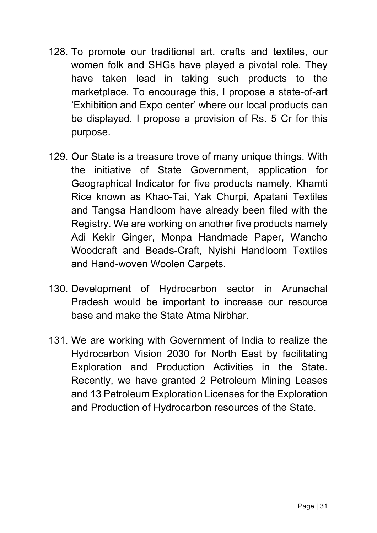- 128. To promote our traditional art, crafts and textiles, our women folk and SHGs have played a pivotal role. They have taken lead in taking such products to the marketplace. To encourage this, I propose a state-of-art 'Exhibition and Expo center' where our local products can be displayed. I propose a provision of Rs. 5 Cr for this purpose.
- 129. Our State is a treasure trove of many unique things. With the initiative of State Government, application for Geographical Indicator for five products namely, Khamti Rice known as Khao-Tai, Yak Churpi, Apatani Textiles and Tangsa Handloom have already been filed with the Registry. We are working on another five products namely Adi Kekir Ginger, Monpa Handmade Paper, Wancho Woodcraft and Beads-Craft, Nyishi Handloom Textiles and Hand-woven Woolen Carpets.
- 130. Development of Hydrocarbon sector in Arunachal Pradesh would be important to increase our resource base and make the State Atma Nirbhar.
- 131. We are working with Government of India to realize the Hydrocarbon Vision 2030 for North East by facilitating Exploration and Production Activities in the State. Recently, we have granted 2 Petroleum Mining Leases and 13 Petroleum Exploration Licenses for the Exploration and Production of Hydrocarbon resources of the State.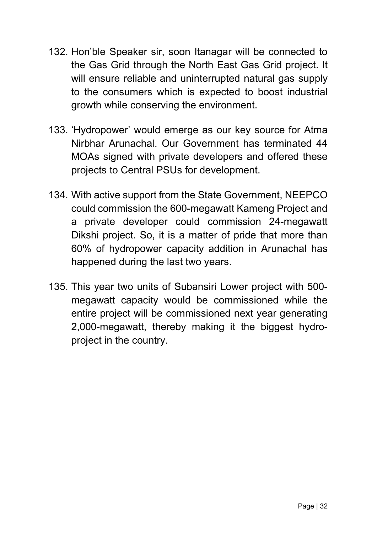- 132. Hon'ble Speaker sir, soon Itanagar will be connected to the Gas Grid through the North East Gas Grid project. It will ensure reliable and uninterrupted natural gas supply to the consumers which is expected to boost industrial growth while conserving the environment.
- 133. 'Hydropower' would emerge as our key source for Atma Nirbhar Arunachal. Our Government has terminated 44 MOAs signed with private developers and offered these projects to Central PSUs for development.
- 134. With active support from the State Government, NEEPCO could commission the 600-megawatt Kameng Project and a private developer could commission 24-megawatt Dikshi project. So, it is a matter of pride that more than 60% of hydropower capacity addition in Arunachal has happened during the last two years.
- 135. This year two units of Subansiri Lower project with 500 megawatt capacity would be commissioned while the entire project will be commissioned next year generating 2,000-megawatt, thereby making it the biggest hydroproject in the country.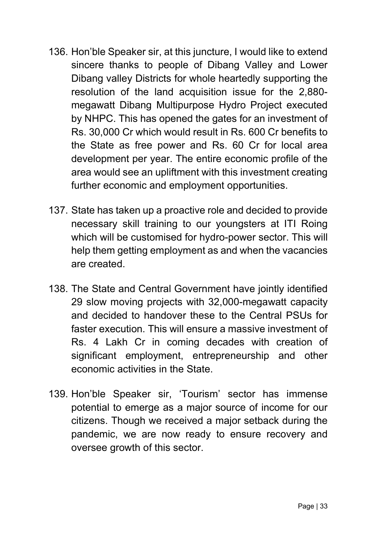- 136. Hon'ble Speaker sir, at this juncture, I would like to extend sincere thanks to people of Dibang Valley and Lower Dibang valley Districts for whole heartedly supporting the resolution of the land acquisition issue for the 2,880 megawatt Dibang Multipurpose Hydro Project executed by NHPC. This has opened the gates for an investment of Rs. 30,000 Cr which would result in Rs. 600 Cr benefits to the State as free power and Rs. 60 Cr for local area development per year. The entire economic profile of the area would see an upliftment with this investment creating further economic and employment opportunities.
- 137. State has taken up a proactive role and decided to provide necessary skill training to our youngsters at ITI Roing which will be customised for hydro-power sector. This will help them getting employment as and when the vacancies are created.
- 138. The State and Central Government have jointly identified 29 slow moving projects with 32,000-megawatt capacity and decided to handover these to the Central PSUs for faster execution. This will ensure a massive investment of Rs. 4 Lakh Cr in coming decades with creation of significant employment, entrepreneurship and other economic activities in the State.
- 139. Hon'ble Speaker sir, 'Tourism' sector has immense potential to emerge as a major source of income for our citizens. Though we received a major setback during the pandemic, we are now ready to ensure recovery and oversee growth of this sector.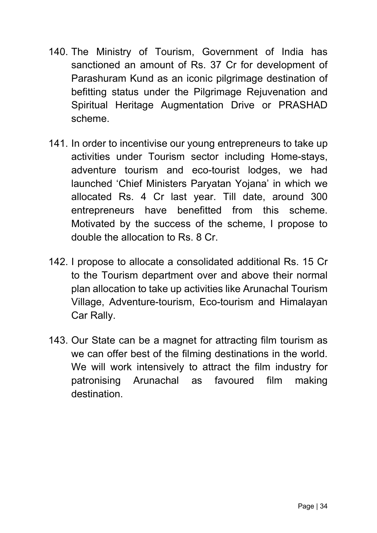- 140. The Ministry of Tourism, Government of India has sanctioned an amount of Rs. 37 Cr for development of Parashuram Kund as an iconic pilgrimage destination of befitting status under the Pilgrimage Rejuvenation and Spiritual Heritage Augmentation Drive or PRASHAD scheme.
- 141. In order to incentivise our young entrepreneurs to take up activities under Tourism sector including Home-stays, adventure tourism and eco-tourist lodges, we had launched 'Chief Ministers Paryatan Yojana' in which we allocated Rs. 4 Cr last year. Till date, around 300 entrepreneurs have benefitted from this scheme. Motivated by the success of the scheme, I propose to double the allocation to Rs. 8 Cr.
- 142. I propose to allocate a consolidated additional Rs. 15 Cr to the Tourism department over and above their normal plan allocation to take up activities like Arunachal Tourism Village, Adventure-tourism, Eco-tourism and Himalayan Car Rally.
- 143. Our State can be a magnet for attracting film tourism as we can offer best of the filming destinations in the world. We will work intensively to attract the film industry for patronising Arunachal as favoured film making destination.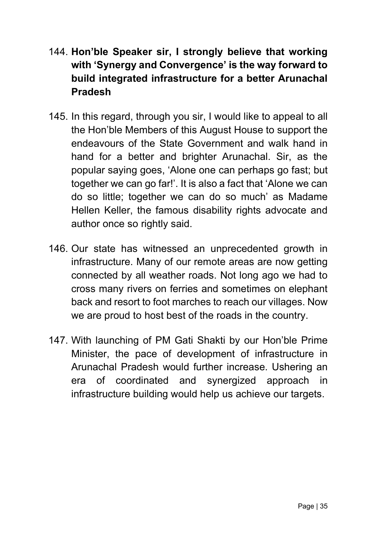- 144. Hon'ble Speaker sir, I strongly believe that working with 'Synergy and Convergence' is the way forward to build integrated infrastructure for a better Arunachal Pradesh
- 145. In this regard, through you sir, I would like to appeal to all the Hon'ble Members of this August House to support the endeavours of the State Government and walk hand in hand for a better and brighter Arunachal. Sir, as the popular saying goes, 'Alone one can perhaps go fast; but together we can go far!'. It is also a fact that 'Alone we can do so little; together we can do so much' as Madame Hellen Keller, the famous disability rights advocate and author once so rightly said.
- 146. Our state has witnessed an unprecedented growth in infrastructure. Many of our remote areas are now getting connected by all weather roads. Not long ago we had to cross many rivers on ferries and sometimes on elephant back and resort to foot marches to reach our villages. Now we are proud to host best of the roads in the country.
- 147. With launching of PM Gati Shakti by our Hon'ble Prime Minister, the pace of development of infrastructure in Arunachal Pradesh would further increase. Ushering an era of coordinated and synergized approach in infrastructure building would help us achieve our targets.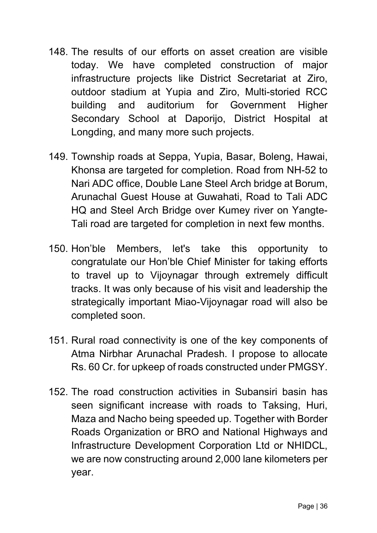- 148. The results of our efforts on asset creation are visible today. We have completed construction of major infrastructure projects like District Secretariat at Ziro, outdoor stadium at Yupia and Ziro, Multi-storied RCC building and auditorium for Government Higher Secondary School at Daporijo, District Hospital at Longding, and many more such projects.
- 149. Township roads at Seppa, Yupia, Basar, Boleng, Hawai, Khonsa are targeted for completion. Road from NH-52 to Nari ADC office, Double Lane Steel Arch bridge at Borum, Arunachal Guest House at Guwahati, Road to Tali ADC HQ and Steel Arch Bridge over Kumey river on Yangte-Tali road are targeted for completion in next few months.
- 150. Hon'ble Members, let's take this opportunity to congratulate our Hon'ble Chief Minister for taking efforts to travel up to Vijoynagar through extremely difficult tracks. It was only because of his visit and leadership the strategically important Miao-Vijoynagar road will also be completed soon.
- 151. Rural road connectivity is one of the key components of Atma Nirbhar Arunachal Pradesh. I propose to allocate Rs. 60 Cr. for upkeep of roads constructed under PMGSY.
- 152. The road construction activities in Subansiri basin has seen significant increase with roads to Taksing, Huri, Maza and Nacho being speeded up. Together with Border Roads Organization or BRO and National Highways and Infrastructure Development Corporation Ltd or NHIDCL, we are now constructing around 2,000 lane kilometers per year.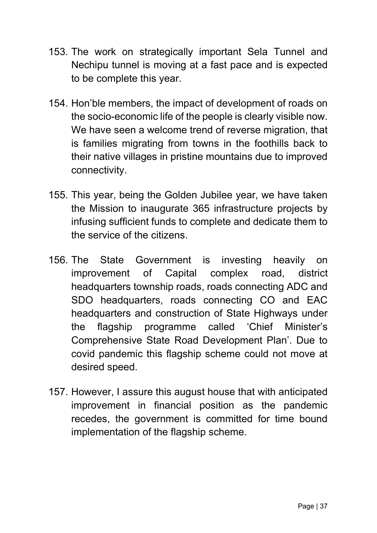- 153. The work on strategically important Sela Tunnel and Nechipu tunnel is moving at a fast pace and is expected to be complete this year.
- 154. Hon'ble members, the impact of development of roads on the socio-economic life of the people is clearly visible now. We have seen a welcome trend of reverse migration, that is families migrating from towns in the foothills back to their native villages in pristine mountains due to improved connectivity.
- 155. This year, being the Golden Jubilee year, we have taken the Mission to inaugurate 365 infrastructure projects by infusing sufficient funds to complete and dedicate them to the service of the citizens.
- 156. The State Government is investing heavily on improvement of Capital complex road, district headquarters township roads, roads connecting ADC and SDO headquarters, roads connecting CO and EAC headquarters and construction of State Highways under the flagship programme called 'Chief Minister's Comprehensive State Road Development Plan'. Due to covid pandemic this flagship scheme could not move at desired speed.
- 157. However, I assure this august house that with anticipated improvement in financial position as the pandemic recedes, the government is committed for time bound implementation of the flagship scheme.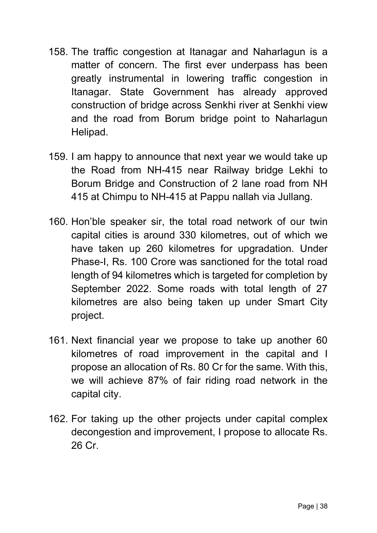- 158. The traffic congestion at Itanagar and Naharlagun is a matter of concern. The first ever underpass has been greatly instrumental in lowering traffic congestion in Itanagar. State Government has already approved construction of bridge across Senkhi river at Senkhi view and the road from Borum bridge point to Naharlagun Helipad.
- 159. I am happy to announce that next year we would take up the Road from NH-415 near Railway bridge Lekhi to Borum Bridge and Construction of 2 lane road from NH 415 at Chimpu to NH-415 at Pappu nallah via Jullang.
- 160. Hon'ble speaker sir, the total road network of our twin capital cities is around 330 kilometres, out of which we have taken up 260 kilometres for upgradation. Under Phase-I, Rs. 100 Crore was sanctioned for the total road length of 94 kilometres which is targeted for completion by September 2022. Some roads with total length of 27 kilometres are also being taken up under Smart City project.
- 161. Next financial year we propose to take up another 60 kilometres of road improvement in the capital and I propose an allocation of Rs. 80 Cr for the same. With this, we will achieve 87% of fair riding road network in the capital city.
- 162. For taking up the other projects under capital complex decongestion and improvement, I propose to allocate Rs. 26 Cr.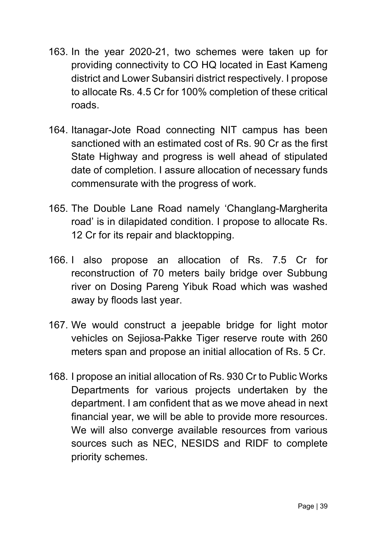- 163. In the year 2020-21, two schemes were taken up for providing connectivity to CO HQ located in East Kameng district and Lower Subansiri district respectively. I propose to allocate Rs. 4.5 Cr for 100% completion of these critical roads.
- 164. Itanagar-Jote Road connecting NIT campus has been sanctioned with an estimated cost of Rs. 90 Cr as the first State Highway and progress is well ahead of stipulated date of completion. I assure allocation of necessary funds commensurate with the progress of work.
- 165. The Double Lane Road namely 'Changlang-Margherita road' is in dilapidated condition. I propose to allocate Rs. 12 Cr for its repair and blacktopping.
- 166. I also propose an allocation of Rs. 7.5 Cr for reconstruction of 70 meters baily bridge over Subbung river on Dosing Pareng Yibuk Road which was washed away by floods last year.
- 167. We would construct a jeepable bridge for light motor vehicles on Sejiosa-Pakke Tiger reserve route with 260 meters span and propose an initial allocation of Rs. 5 Cr.
- 168. I propose an initial allocation of Rs. 930 Cr to Public Works Departments for various projects undertaken by the department. I am confident that as we move ahead in next financial year, we will be able to provide more resources. We will also converge available resources from various sources such as NEC, NESIDS and RIDF to complete priority schemes.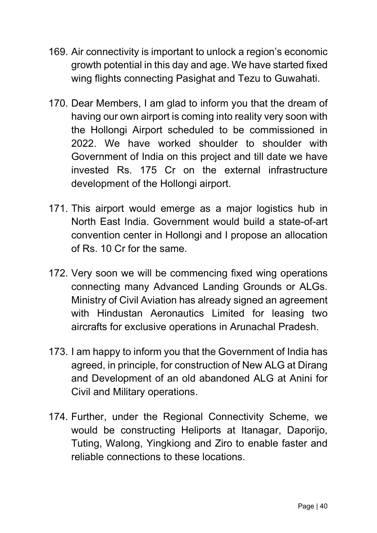- 169. Air connectivity is important to unlock a region's economic growth potential in this day and age. We have started fixed wing flights connecting Pasighat and Tezu to Guwahati.
- 170. Dear Members, I am glad to inform you that the dream of having our own airport is coming into reality very soon with the Hollongi Airport scheduled to be commissioned in 2022. We have worked shoulder to shoulder with Government of India on this project and till date we have invested Rs. 175 Cr on the external infrastructure development of the Hollongi airport.
- 171. This airport would emerge as a major logistics hub in North East India. Government would build a state-of-art convention center in Hollongi and I propose an allocation of Rs. 10 Cr for the same.
- 172. Very soon we will be commencing fixed wing operations connecting many Advanced Landing Grounds or ALGs. Ministry of Civil Aviation has already signed an agreement with Hindustan Aeronautics Limited for leasing two aircrafts for exclusive operations in Arunachal Pradesh.
- 173. I am happy to inform you that the Government of India has agreed, in principle, for construction of New ALG at Dirang and Development of an old abandoned ALG at Anini for Civil and Military operations.
- 174. Further, under the Regional Connectivity Scheme, we would be constructing Heliports at Itanagar, Daporijo, Tuting, Walong, Yingkiong and Ziro to enable faster and reliable connections to these locations.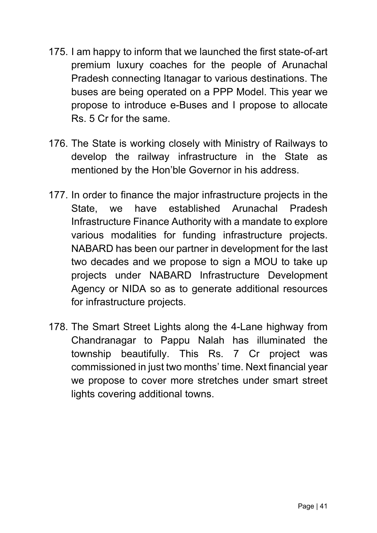- 175. I am happy to inform that we launched the first state-of-art premium luxury coaches for the people of Arunachal Pradesh connecting Itanagar to various destinations. The buses are being operated on a PPP Model. This year we propose to introduce e-Buses and I propose to allocate Rs. 5 Cr for the same.
- 176. The State is working closely with Ministry of Railways to develop the railway infrastructure in the State as mentioned by the Hon'ble Governor in his address.
- 177. In order to finance the major infrastructure projects in the State, we have established Arunachal Pradesh Infrastructure Finance Authority with a mandate to explore various modalities for funding infrastructure projects. NABARD has been our partner in development for the last two decades and we propose to sign a MOU to take up projects under NABARD Infrastructure Development Agency or NIDA so as to generate additional resources for infrastructure projects.
- 178. The Smart Street Lights along the 4-Lane highway from Chandranagar to Pappu Nalah has illuminated the township beautifully. This Rs. 7 Cr project was commissioned in just two months' time. Next financial year we propose to cover more stretches under smart street lights covering additional towns.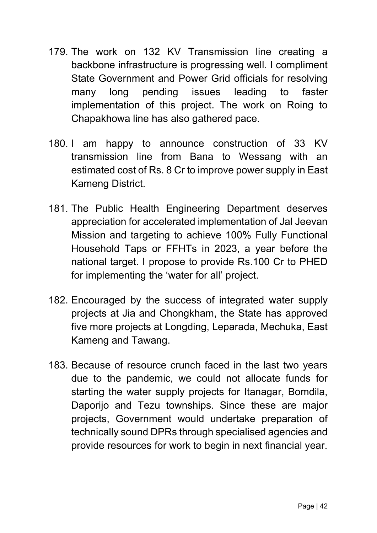- 179. The work on 132 KV Transmission line creating a backbone infrastructure is progressing well. I compliment State Government and Power Grid officials for resolving many long pending issues leading to faster implementation of this project. The work on Roing to Chapakhowa line has also gathered pace.
- 180. I am happy to announce construction of 33 KV transmission line from Bana to Wessang with an estimated cost of Rs. 8 Cr to improve power supply in East Kameng District.
- 181. The Public Health Engineering Department deserves appreciation for accelerated implementation of Jal Jeevan Mission and targeting to achieve 100% Fully Functional Household Taps or FFHTs in 2023, a year before the national target. I propose to provide Rs.100 Cr to PHED for implementing the 'water for all' project.
- 182. Encouraged by the success of integrated water supply projects at Jia and Chongkham, the State has approved five more projects at Longding, Leparada, Mechuka, East Kameng and Tawang.
- 183. Because of resource crunch faced in the last two years due to the pandemic, we could not allocate funds for starting the water supply projects for Itanagar, Bomdila, Daporijo and Tezu townships. Since these are major projects, Government would undertake preparation of technically sound DPRs through specialised agencies and provide resources for work to begin in next financial year.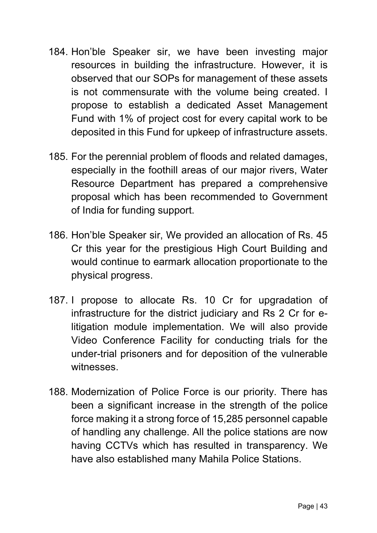- 184. Hon'ble Speaker sir, we have been investing major resources in building the infrastructure. However, it is observed that our SOPs for management of these assets is not commensurate with the volume being created. I propose to establish a dedicated Asset Management Fund with 1% of project cost for every capital work to be deposited in this Fund for upkeep of infrastructure assets.
- 185. For the perennial problem of floods and related damages, especially in the foothill areas of our major rivers, Water Resource Department has prepared a comprehensive proposal which has been recommended to Government of India for funding support.
- 186. Hon'ble Speaker sir, We provided an allocation of Rs. 45 Cr this year for the prestigious High Court Building and would continue to earmark allocation proportionate to the physical progress.
- 187. I propose to allocate Rs. 10 Cr for upgradation of infrastructure for the district judiciary and Rs 2 Cr for elitigation module implementation. We will also provide Video Conference Facility for conducting trials for the under-trial prisoners and for deposition of the vulnerable witnesses.
- 188. Modernization of Police Force is our priority. There has been a significant increase in the strength of the police force making it a strong force of 15,285 personnel capable of handling any challenge. All the police stations are now having CCTVs which has resulted in transparency. We have also established many Mahila Police Stations.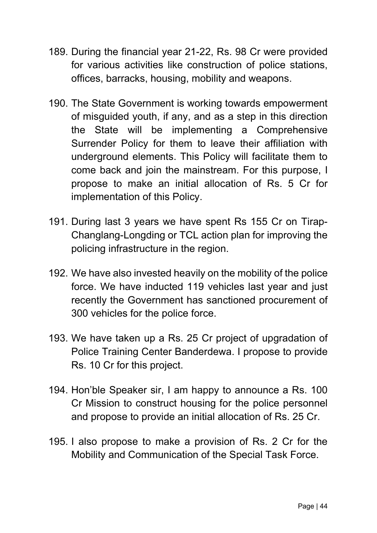- 189. During the financial year 21-22, Rs. 98 Cr were provided for various activities like construction of police stations, offices, barracks, housing, mobility and weapons.
- 190. The State Government is working towards empowerment of misguided youth, if any, and as a step in this direction the State will be implementing a Comprehensive Surrender Policy for them to leave their affiliation with underground elements. This Policy will facilitate them to come back and join the mainstream. For this purpose, I propose to make an initial allocation of Rs. 5 Cr for implementation of this Policy.
- 191. During last 3 years we have spent Rs 155 Cr on Tirap-Changlang-Longding or TCL action plan for improving the policing infrastructure in the region.
- 192. We have also invested heavily on the mobility of the police force. We have inducted 119 vehicles last year and just recently the Government has sanctioned procurement of 300 vehicles for the police force.
- 193. We have taken up a Rs. 25 Cr project of upgradation of Police Training Center Banderdewa. I propose to provide Rs. 10 Cr for this project.
- 194. Hon'ble Speaker sir, I am happy to announce a Rs. 100 Cr Mission to construct housing for the police personnel and propose to provide an initial allocation of Rs. 25 Cr.
- 195. I also propose to make a provision of Rs. 2 Cr for the Mobility and Communication of the Special Task Force.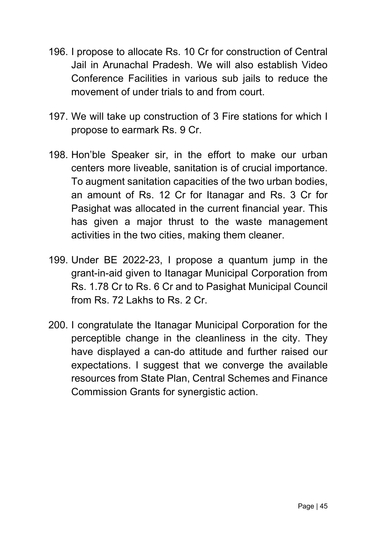- 196. I propose to allocate Rs. 10 Cr for construction of Central Jail in Arunachal Pradesh. We will also establish Video Conference Facilities in various sub jails to reduce the movement of under trials to and from court.
- 197. We will take up construction of 3 Fire stations for which I propose to earmark Rs. 9 Cr.
- 198. Hon'ble Speaker sir, in the effort to make our urban centers more liveable, sanitation is of crucial importance. To augment sanitation capacities of the two urban bodies, an amount of Rs. 12 Cr for Itanagar and Rs. 3 Cr for Pasighat was allocated in the current financial year. This has given a major thrust to the waste management activities in the two cities, making them cleaner.
- 199. Under BE 2022-23, I propose a quantum jump in the grant-in-aid given to Itanagar Municipal Corporation from Rs. 1.78 Cr to Rs. 6 Cr and to Pasighat Municipal Council from Rs. 72 Lakhs to Rs. 2 Cr.
- 200. I congratulate the Itanagar Municipal Corporation for the perceptible change in the cleanliness in the city. They have displayed a can-do attitude and further raised our expectations. I suggest that we converge the available resources from State Plan, Central Schemes and Finance Commission Grants for synergistic action.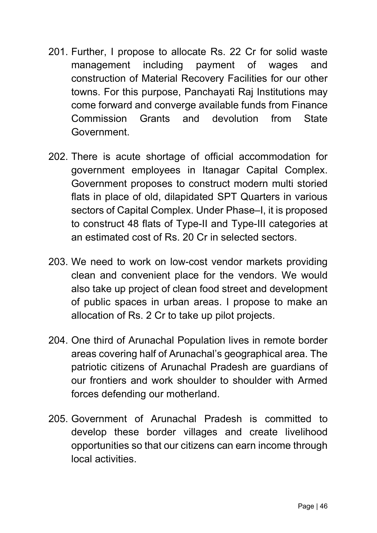- 201. Further, I propose to allocate Rs. 22 Cr for solid waste management including payment of wages and construction of Material Recovery Facilities for our other towns. For this purpose, Panchayati Raj Institutions may come forward and converge available funds from Finance Commission Grants and devolution from State Government.
- 202. There is acute shortage of official accommodation for government employees in Itanagar Capital Complex. Government proposes to construct modern multi storied flats in place of old, dilapidated SPT Quarters in various sectors of Capital Complex. Under Phase–I, it is proposed to construct 48 flats of Type-II and Type-III categories at an estimated cost of Rs. 20 Cr in selected sectors.
- 203. We need to work on low-cost vendor markets providing clean and convenient place for the vendors. We would also take up project of clean food street and development of public spaces in urban areas. I propose to make an allocation of Rs. 2 Cr to take up pilot projects.
- 204. One third of Arunachal Population lives in remote border areas covering half of Arunachal's geographical area. The patriotic citizens of Arunachal Pradesh are guardians of our frontiers and work shoulder to shoulder with Armed forces defending our motherland.
- 205. Government of Arunachal Pradesh is committed to develop these border villages and create livelihood opportunities so that our citizens can earn income through local activities.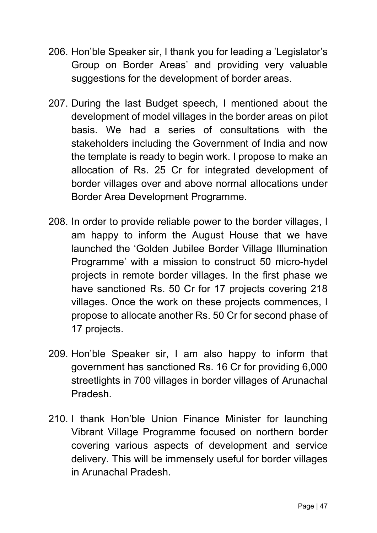- 206. Hon'ble Speaker sir, I thank you for leading a 'Legislator's Group on Border Areas' and providing very valuable suggestions for the development of border areas.
- 207. During the last Budget speech, I mentioned about the development of model villages in the border areas on pilot basis. We had a series of consultations with the stakeholders including the Government of India and now the template is ready to begin work. I propose to make an allocation of Rs. 25 Cr for integrated development of border villages over and above normal allocations under Border Area Development Programme.
- 208. In order to provide reliable power to the border villages, I am happy to inform the August House that we have launched the 'Golden Jubilee Border Village Illumination Programme' with a mission to construct 50 micro-hydel projects in remote border villages. In the first phase we have sanctioned Rs. 50 Cr for 17 projects covering 218 villages. Once the work on these projects commences, I propose to allocate another Rs. 50 Cr for second phase of 17 projects.
- 209. Hon'ble Speaker sir, I am also happy to inform that government has sanctioned Rs. 16 Cr for providing 6,000 streetlights in 700 villages in border villages of Arunachal Pradesh.
- 210. I thank Hon'ble Union Finance Minister for launching Vibrant Village Programme focused on northern border covering various aspects of development and service delivery. This will be immensely useful for border villages in Arunachal Pradesh.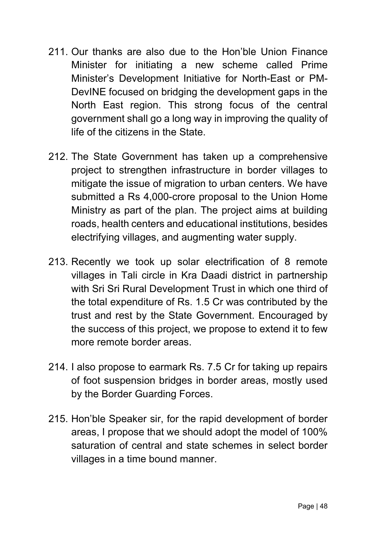- 211. Our thanks are also due to the Hon'ble Union Finance Minister for initiating a new scheme called Prime Minister's Development Initiative for North-East or PM-DevINE focused on bridging the development gaps in the North East region. This strong focus of the central government shall go a long way in improving the quality of life of the citizens in the State.
- 212. The State Government has taken up a comprehensive project to strengthen infrastructure in border villages to mitigate the issue of migration to urban centers. We have submitted a Rs 4,000-crore proposal to the Union Home Ministry as part of the plan. The project aims at building roads, health centers and educational institutions, besides electrifying villages, and augmenting water supply.
- 213. Recently we took up solar electrification of 8 remote villages in Tali circle in Kra Daadi district in partnership with Sri Sri Rural Development Trust in which one third of the total expenditure of Rs. 1.5 Cr was contributed by the trust and rest by the State Government. Encouraged by the success of this project, we propose to extend it to few more remote border areas.
- 214. I also propose to earmark Rs. 7.5 Cr for taking up repairs of foot suspension bridges in border areas, mostly used by the Border Guarding Forces.
- 215. Hon'ble Speaker sir, for the rapid development of border areas, I propose that we should adopt the model of 100% saturation of central and state schemes in select border villages in a time bound manner.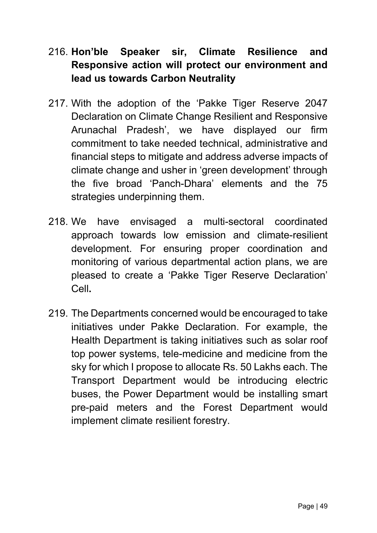# 216. Hon'ble Speaker sir, Climate Resilience and Responsive action will protect our environment and lead us towards Carbon Neutrality

- 217. With the adoption of the 'Pakke Tiger Reserve 2047 Declaration on Climate Change Resilient and Responsive Arunachal Pradesh', we have displayed our firm commitment to take needed technical, administrative and financial steps to mitigate and address adverse impacts of climate change and usher in 'green development' through the five broad 'Panch-Dhara' elements and the 75 strategies underpinning them.
- 218. We have envisaged a multi-sectoral coordinated approach towards low emission and climate-resilient development. For ensuring proper coordination and monitoring of various departmental action plans, we are pleased to create a 'Pakke Tiger Reserve Declaration' Cell.
- 219. The Departments concerned would be encouraged to take initiatives under Pakke Declaration. For example, the Health Department is taking initiatives such as solar roof top power systems, tele-medicine and medicine from the sky for which I propose to allocate Rs. 50 Lakhs each. The Transport Department would be introducing electric buses, the Power Department would be installing smart pre-paid meters and the Forest Department would implement climate resilient forestry.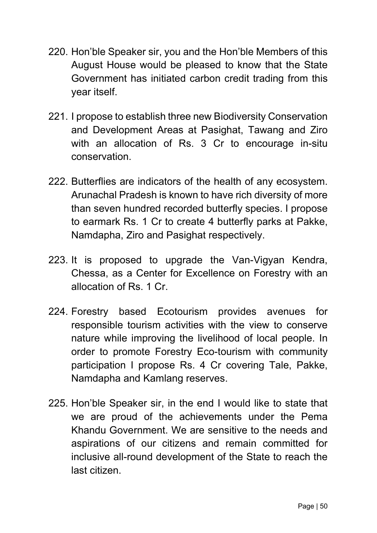- 220. Hon'ble Speaker sir, you and the Hon'ble Members of this August House would be pleased to know that the State Government has initiated carbon credit trading from this year itself.
- 221. I propose to establish three new Biodiversity Conservation and Development Areas at Pasighat, Tawang and Ziro with an allocation of Rs. 3 Cr to encourage in-situ conservation.
- 222. Butterflies are indicators of the health of any ecosystem. Arunachal Pradesh is known to have rich diversity of more than seven hundred recorded butterfly species. I propose to earmark Rs. 1 Cr to create 4 butterfly parks at Pakke, Namdapha, Ziro and Pasighat respectively.
- 223. It is proposed to upgrade the Van-Vigyan Kendra, Chessa, as a Center for Excellence on Forestry with an allocation of Rs. 1 Cr.
- 224. Forestry based Ecotourism provides avenues for responsible tourism activities with the view to conserve nature while improving the livelihood of local people. In order to promote Forestry Eco-tourism with community participation I propose Rs. 4 Cr covering Tale, Pakke, Namdapha and Kamlang reserves.
- 225. Hon'ble Speaker sir, in the end I would like to state that we are proud of the achievements under the Pema Khandu Government. We are sensitive to the needs and aspirations of our citizens and remain committed for inclusive all-round development of the State to reach the last citizen.